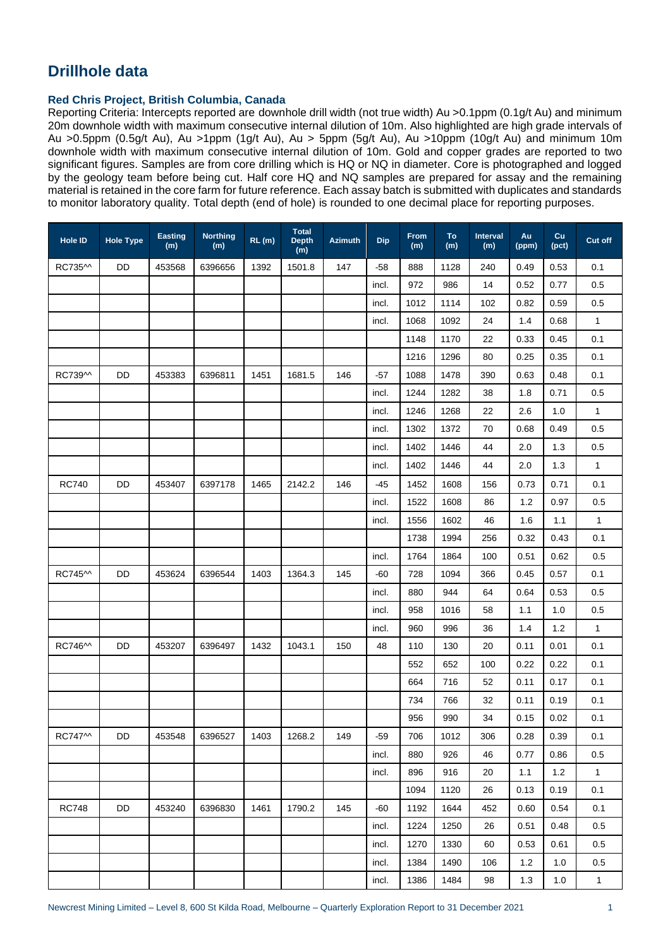## **Drillhole data**

## **Red Chris Project, British Columbia, Canada**

Reporting Criteria: Intercepts reported are downhole drill width (not true width) Au >0.1ppm (0.1g/t Au) and minimum 20m downhole width with maximum consecutive internal dilution of 10m. Also highlighted are high grade intervals of Au >0.5ppm (0.5g/t Au), Au >1ppm (1g/t Au), Au > 5ppm (5g/t Au), Au >10ppm (10g/t Au) and minimum 10m downhole width with maximum consecutive internal dilution of 10m. Gold and copper grades are reported to two significant figures. Samples are from core drilling which is HQ or NQ in diameter. Core is photographed and logged by the geology team before being cut. Half core HQ and NQ samples are prepared for assay and the remaining material is retained in the core farm for future reference. Each assay batch is submitted with duplicates and standards to monitor laboratory quality. Total depth (end of hole) is rounded to one decimal place for reporting purposes.

| Hole ID                         | <b>Hole Type</b> | <b>Easting</b><br>(m) | <b>Northing</b><br>(m) | RL(m) | <b>Total</b><br>Depth<br>(m) | <b>Azimuth</b> | <b>Dip</b> | From<br>(m) | To<br>(m) | Interval<br>(m) | Au<br>(ppm) | Cu<br>(pct) | Cut off      |
|---------------------------------|------------------|-----------------------|------------------------|-------|------------------------------|----------------|------------|-------------|-----------|-----------------|-------------|-------------|--------------|
| RC735^^                         | DD               | 453568                | 6396656                | 1392  | 1501.8                       | 147            | -58        | 888         | 1128      | 240             | 0.49        | 0.53        | 0.1          |
|                                 |                  |                       |                        |       |                              |                | incl.      | 972         | 986       | 14              | 0.52        | 0.77        | 0.5          |
|                                 |                  |                       |                        |       |                              |                | incl.      | 1012        | 1114      | 102             | 0.82        | 0.59        | 0.5          |
|                                 |                  |                       |                        |       |                              |                | incl.      | 1068        | 1092      | 24              | 1.4         | 0.68        | $\mathbf{1}$ |
|                                 |                  |                       |                        |       |                              |                |            | 1148        | 1170      | 22              | 0.33        | 0.45        | 0.1          |
|                                 |                  |                       |                        |       |                              |                |            | 1216        | 1296      | 80              | 0.25        | 0.35        | 0.1          |
| RC739^^                         | DD               | 453383                | 6396811                | 1451  | 1681.5                       | 146            | -57        | 1088        | 1478      | 390             | 0.63        | 0.48        | 0.1          |
|                                 |                  |                       |                        |       |                              |                | incl.      | 1244        | 1282      | 38              | 1.8         | 0.71        | 0.5          |
|                                 |                  |                       |                        |       |                              |                | incl.      | 1246        | 1268      | 22              | 2.6         | 1.0         | $\mathbf{1}$ |
|                                 |                  |                       |                        |       |                              |                | incl.      | 1302        | 1372      | 70              | 0.68        | 0.49        | 0.5          |
|                                 |                  |                       |                        |       |                              |                | incl.      | 1402        | 1446      | 44              | 2.0         | 1.3         | 0.5          |
|                                 |                  |                       |                        |       |                              |                | incl.      | 1402        | 1446      | 44              | 2.0         | 1.3         | $\mathbf{1}$ |
| <b>RC740</b>                    | <b>DD</b>        | 453407                | 6397178                | 1465  | 2142.2                       | 146            | -45        | 1452        | 1608      | 156             | 0.73        | 0.71        | 0.1          |
|                                 |                  |                       |                        |       |                              |                | incl.      | 1522        | 1608      | 86              | 1.2         | 0.97        | 0.5          |
|                                 |                  |                       |                        |       |                              |                | incl.      | 1556        | 1602      | 46              | 1.6         | 1.1         | $\mathbf{1}$ |
|                                 |                  |                       |                        |       |                              |                |            | 1738        | 1994      | 256             | 0.32        | 0.43        | 0.1          |
|                                 |                  |                       |                        |       |                              |                | incl.      | 1764        | 1864      | 100             | 0.51        | 0.62        | 0.5          |
| RC745 <sup><math>M</math></sup> | DD               | 453624                | 6396544                | 1403  | 1364.3                       | 145            | $-60$      | 728         | 1094      | 366             | 0.45        | 0.57        | 0.1          |
|                                 |                  |                       |                        |       |                              |                | incl.      | 880         | 944       | 64              | 0.64        | 0.53        | 0.5          |
|                                 |                  |                       |                        |       |                              |                | incl.      | 958         | 1016      | 58              | 1.1         | 1.0         | 0.5          |
|                                 |                  |                       |                        |       |                              |                | incl.      | 960         | 996       | 36              | 1.4         | 1.2         | $\mathbf{1}$ |
| RC746^^                         | DD               | 453207                | 6396497                | 1432  | 1043.1                       | 150            | 48         | 110         | 130       | 20              | 0.11        | 0.01        | 0.1          |
|                                 |                  |                       |                        |       |                              |                |            | 552         | 652       | 100             | 0.22        | 0.22        | 0.1          |
|                                 |                  |                       |                        |       |                              |                |            | 664         | 716       | 52              | 0.11        | 0.17        | 0.1          |
|                                 |                  |                       |                        |       |                              |                |            | 734         | 766       | 32              | 0.11        | 0.19        | 0.1          |
|                                 |                  |                       |                        |       |                              |                |            | 956         | 990       | 34              | 0.15        | 0.02        | 0.1          |
| RC747^^                         | <b>DD</b>        | 453548                | 6396527                | 1403  | 1268.2                       | 149            | $-59$      | 706         | 1012      | 306             | 0.28        | 0.39        | 0.1          |
|                                 |                  |                       |                        |       |                              |                | incl.      | 880         | 926       | 46              | 0.77        | 0.86        | 0.5          |
|                                 |                  |                       |                        |       |                              |                | incl.      | 896         | 916       | 20              | 1.1         | 1.2         | $\mathbf{1}$ |
|                                 |                  |                       |                        |       |                              |                |            | 1094        | 1120      | 26              | 0.13        | 0.19        | 0.1          |
| <b>RC748</b>                    | <b>DD</b>        | 453240                | 6396830                | 1461  | 1790.2                       | 145            | $-60$      | 1192        | 1644      | 452             | 0.60        | 0.54        | 0.1          |
|                                 |                  |                       |                        |       |                              |                | incl.      | 1224        | 1250      | 26              | 0.51        | 0.48        | 0.5          |
|                                 |                  |                       |                        |       |                              |                | incl.      | 1270        | 1330      | 60              | 0.53        | 0.61        | 0.5          |
|                                 |                  |                       |                        |       |                              |                | incl.      | 1384        | 1490      | 106             | 1.2         | 1.0         | 0.5          |
|                                 |                  |                       |                        |       |                              |                | incl.      | 1386        | 1484      | 98              | 1.3         | 1.0         | $\mathbf{1}$ |